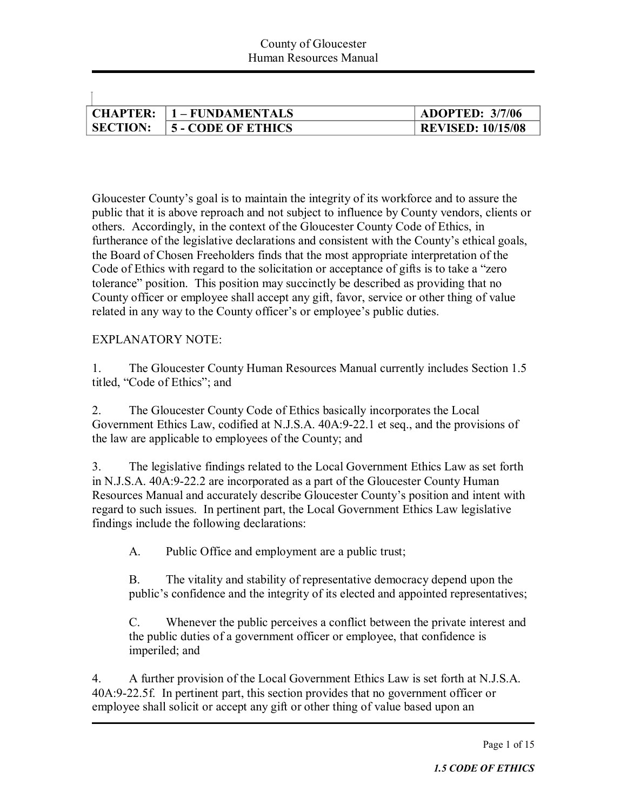| <b>CHAPTER:</b> | 1 – FUNDAMENTALS          | <b>ADOPTED: 3/7/06</b>   |
|-----------------|---------------------------|--------------------------|
| <b>SECTION:</b> | <b>5 - CODE OF ETHICS</b> | <b>REVISED: 10/15/08</b> |

Gloucester County's goal is to maintain the integrity of its workforce and to assure the public that it is above reproach and not subject to influence by County vendors, clients or others. Accordingly, in the context of the Gloucester County Code of Ethics, in furtherance of the legislative declarations and consistent with the County's ethical goals, the Board of Chosen Freeholders finds that the most appropriate interpretation of the Code of Ethics with regard to the solicitation or acceptance of gifts is to take a "zero tolerance" position. This position may succinctly be described as providing that no County officer or employee shall accept any gift, favor, service or other thing of value related in any way to the County officer's or employee's public duties.

#### EXPLANATORY NOTE:

 $\overline{1}$ 

1. The Gloucester County Human Resources Manual currently includes Section 1.5 titled, "Code of Ethics"; and

2. The Gloucester County Code of Ethics basically incorporates the Local Government Ethics Law, codified at N.J.S.A. 40A:9-22.1 et seq., and the provisions of the law are applicable to employees of the County; and

3. The legislative findings related to the Local Government Ethics Law as set forth in N.J.S.A. 40A:9-22.2 are incorporated as a part of the Gloucester County Human Resources Manual and accurately describe Gloucester County's position and intent with regard to such issues. In pertinent part, the Local Government Ethics Law legislative findings include the following declarations:

A. Public Office and employment are a public trust;

B. The vitality and stability of representative democracy depend upon the public's confidence and the integrity of its elected and appointed representatives;

C. Whenever the public perceives a conflict between the private interest and the public duties of a government officer or employee, that confidence is imperiled; and

4. A further provision of the Local Government Ethics Law is set forth at N.J.S.A. 40A:922.5f. In pertinent part, this section provides that no government officer or employee shall solicit or accept any gift or other thing of value based upon an

Page 1 of 15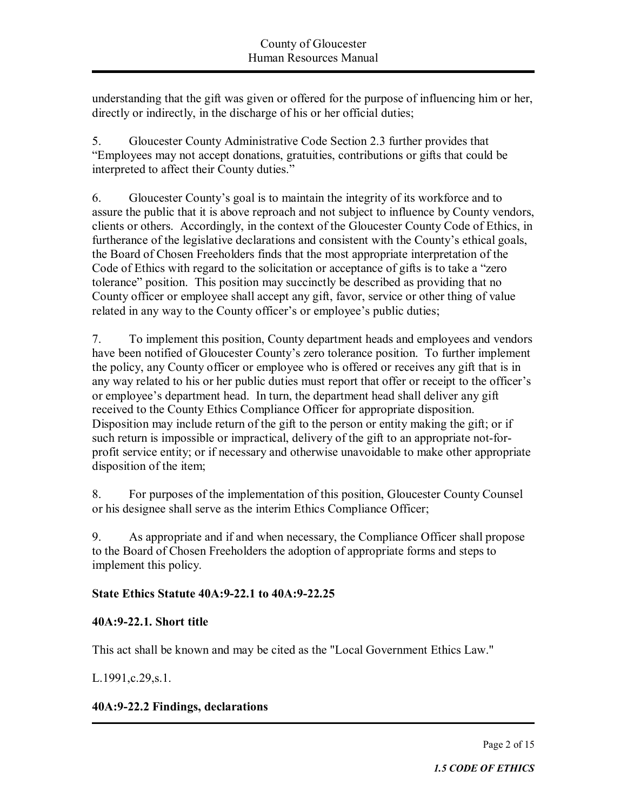understanding that the gift was given or offered for the purpose of influencing him or her, directly or indirectly, in the discharge of his or her official duties;

5. Gloucester County Administrative Code Section 2.3 further provides that "Employees may not accept donations, gratuities, contributions or gifts that could be interpreted to affect their County duties."

6. Gloucester County's goal is to maintain the integrity of its workforce and to assure the public that it is above reproach and not subject to influence by County vendors, clients or others. Accordingly, in the context of the Gloucester County Code of Ethics, in furtherance of the legislative declarations and consistent with the County's ethical goals, the Board of Chosen Freeholders finds that the most appropriate interpretation of the Code of Ethics with regard to the solicitation or acceptance of gifts is to take a "zero tolerance" position. This position may succinctly be described as providing that no County officer or employee shall accept any gift, favor, service or other thing of value related in any way to the County officer's or employee's public duties;

7. To implement this position, County department heads and employees and vendors have been notified of Gloucester County's zero tolerance position. To further implement the policy, any County officer or employee who is offered or receives any gift that is in any way related to his or her public duties must report that offer or receipt to the officer's or employee's department head. In turn, the department head shall deliver any gift received to the County Ethics Compliance Officer for appropriate disposition. Disposition may include return of the gift to the person or entity making the gift; or if such return is impossible or impractical, delivery of the gift to an appropriate not-forprofit service entity; or if necessary and otherwise unavoidable to make other appropriate disposition of the item;

8. For purposes of the implementation of this position, Gloucester County Counsel or his designee shall serve as the interim Ethics Compliance Officer;

9. As appropriate and if and when necessary, the Compliance Officer shall propose to the Board of Chosen Freeholders the adoption of appropriate forms and steps to implement this policy.

# **State Ethics Statute 40A:9-22.1 to 40A:9-22.25**

# **40A:922.1. Short title**

This act shall be known and may be cited as the "Local Government Ethics Law."

### L.1991,c.29,s.1.

# **40A:922.2 Findings, declarations**

Page 2 of 15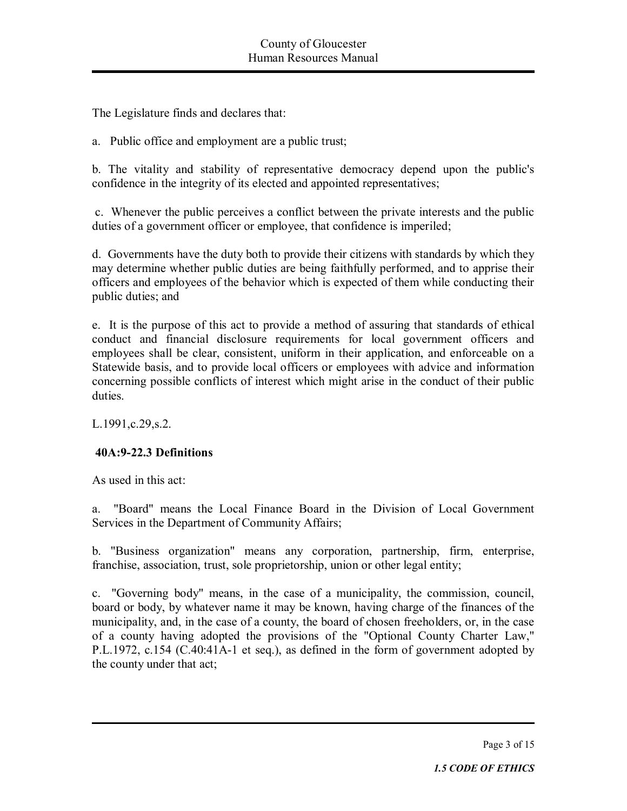The Legislature finds and declares that:

a. Public office and employment are a public trust;

b. The vitality and stability of representative democracy depend upon the public's confidence in the integrity of its elected and appointed representatives;

c. Whenever the public perceives a conflict between the private interests and the public duties of a government officer or employee, that confidence is imperiled;

d. Governments have the duty both to provide their citizens with standards by which they may determine whether public duties are being faithfully performed, and to apprise their officers and employees of the behavior which is expected of them while conducting their public duties; and

e. It is the purpose of this act to provide a method of assuring that standards of ethical conduct and financial disclosure requirements for local government officers and employees shall be clear, consistent, uniform in their application, and enforceable on a Statewide basis, and to provide local officers or employees with advice and information concerning possible conflicts of interest which might arise in the conduct of their public duties.

L.1991,c.29,s.2.

### **40A:922.3 Definitions**

As used in this act:

a. "Board" means the Local Finance Board in the Division of Local Government Services in the Department of Community Affairs;

b. "Business organization" means any corporation, partnership, firm, enterprise, franchise, association, trust, sole proprietorship, union or other legal entity;

c. "Governing body" means, in the case of a municipality, the commission, council, board or body, by whatever name it may be known, having charge of the finances of the municipality, and, in the case of a county, the board of chosen freeholders, or, in the case of a county having adopted the provisions of the "Optional County Charter Law," P.L.1972, c.154 (C.40:41A-1 et seq.), as defined in the form of government adopted by the county under that act;

Page 3 of 15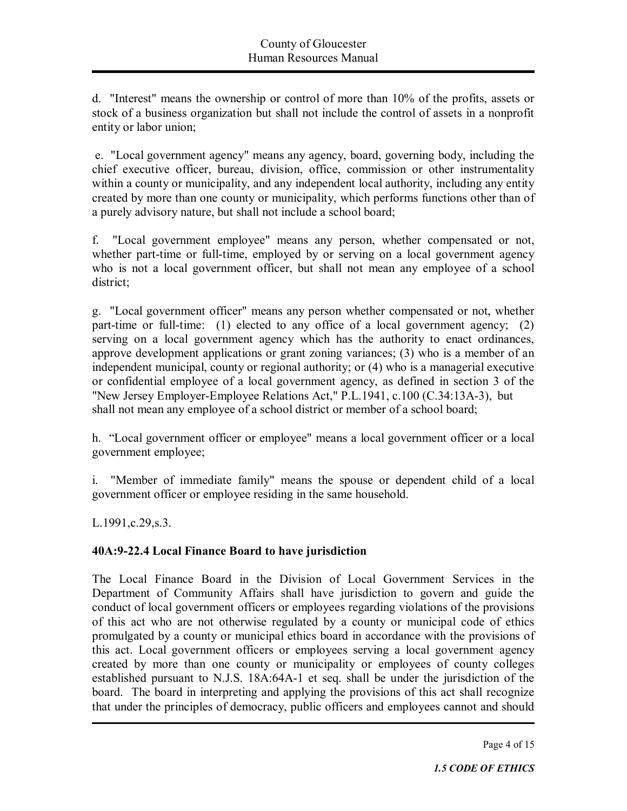d. "Interest" means the ownership or control of more than 10% of the profits, assets or stock of a business organization but shall not include the control of assets in a nonprofit entity or labor union;

e. "Local government agency" means any agency, board, governing body, including the chief executive officer, bureau, division, office, commission or other instrumentality within a county or municipality, and any independent local authority, including any entity created by more than one county or municipality, which performs functions other than of a purely advisory nature, but shall not include a school board;

f. "Local government employee" means any person, whether compensated or not, whether part-time or full-time, employed by or serving on a local government agency who is not a local government officer, but shall not mean any employee of a school district;

g. "Local government officer" means any person whether compensated or not, whether part-time or full-time: (1) elected to any office of a local government agency; (2) serving on a local government agency which has the authority to enact ordinances, approve development applications or grant zoning variances; (3) who is a member of an independent municipal, county or regional authority; or (4) who is a managerial executive or confidential employee of a local government agency, as defined in section 3 of the "New Jersey Employer-Employee Relations Act," P.L.1941, c.100 (C.34:13A-3), but shall not mean any employee of a school district or member of a school board;

h. "Local government officer or employee" means a local government officer or a local government employee;

i. "Member of immediate family" means the spouse or dependent child of a local government officer or employee residing in the same household.

L.1991,c.29,s.3.

### **40A:922.4 Local Finance Board to have jurisdiction**

The Local Finance Board in the Division of Local Government Services in the Department of Community Affairs shall have jurisdiction to govern and guide the conduct of local government officers or employees regarding violations of the provisions of this act who are not otherwise regulated by a county or municipal code of ethics promulgated by a county or municipal ethics board in accordance with the provisions of this act. Local government officers or employees serving a local government agency created by more than one county or municipality or employees of county colleges established pursuant to N.J.S. 18A:64A-1 et seq. shall be under the jurisdiction of the board. The board in interpreting and applying the provisions of this act shall recognize that under the principles of democracy, public officers and employees cannot and should

Page 4 of 15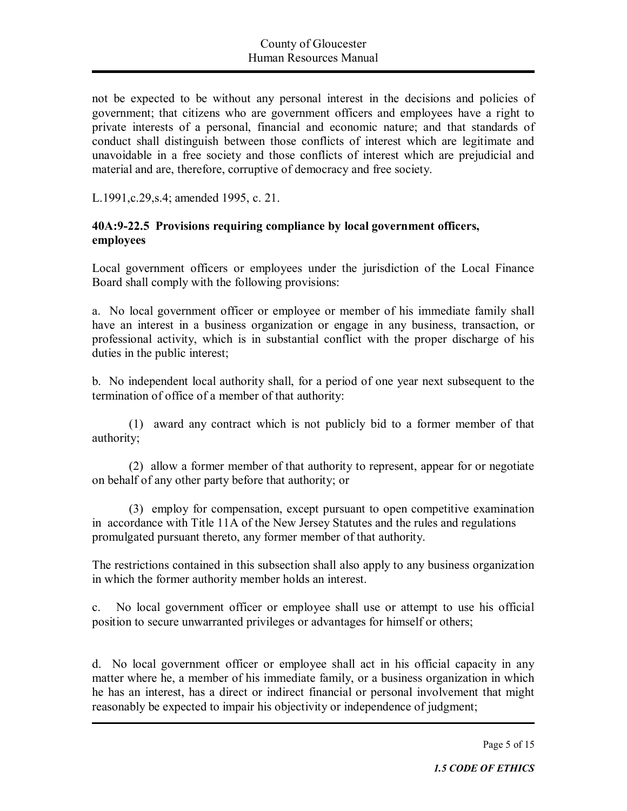not be expected to be without any personal interest in the decisions and policies of government; that citizens who are government officers and employees have a right to private interests of a personal, financial and economic nature; and that standards of conduct shall distinguish between those conflicts of interest which are legitimate and unavoidable in a free society and those conflicts of interest which are prejudicial and material and are, therefore, corruptive of democracy and free society.

L.1991,c.29,s.4; amended 1995, c. 21.

#### **40A:922.5 Provisions requiring compliance by local government officers, employees**

Local government officers or employees under the jurisdiction of the Local Finance Board shall comply with the following provisions:

a. No local government officer or employee or member of his immediate family shall have an interest in a business organization or engage in any business, transaction, or professional activity, which is in substantial conflict with the proper discharge of his duties in the public interest;

b. No independent local authority shall, for a period of one year next subsequent to the termination of office of a member of that authority:

(1) award any contract which is not publicly bid to a former member of that authority;

(2) allow a former member of that authority to represent, appear for or negotiate on behalf of any other party before that authority; or

(3) employ for compensation, except pursuant to open competitive examination in accordance with Title 11A of the New Jersey Statutes and the rules and regulations promulgated pursuant thereto, any former member of that authority.

The restrictions contained in this subsection shall also apply to any business organization in which the former authority member holds an interest.

c. No local government officer or employee shall use or attempt to use his official position to secure unwarranted privileges or advantages for himself or others;

d. No local government officer or employee shall act in his official capacity in any matter where he, a member of his immediate family, or a business organization in which he has an interest, has a direct or indirect financial or personal involvement that might reasonably be expected to impair his objectivity or independence of judgment;

Page 5 of 15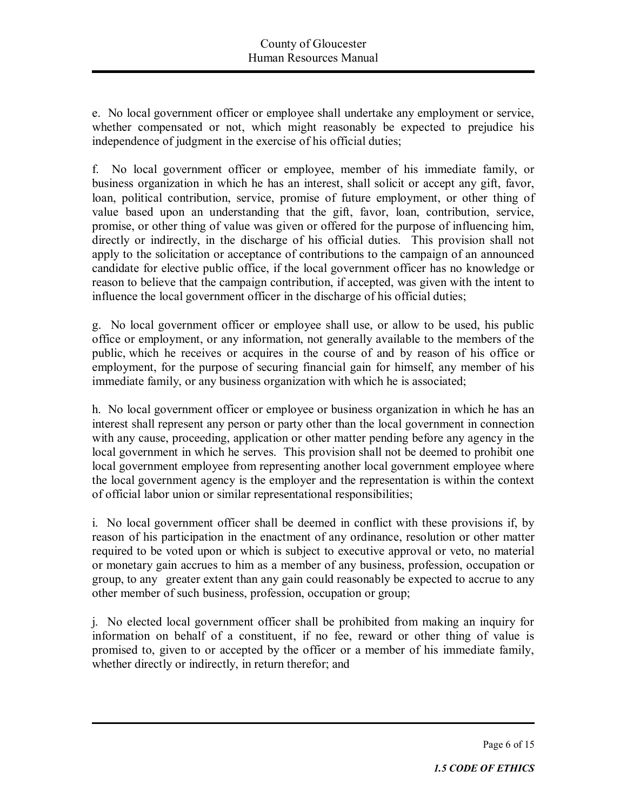e. No local government officer or employee shall undertake any employment or service, whether compensated or not, which might reasonably be expected to prejudice his independence of judgment in the exercise of his official duties;

f. No local government officer or employee, member of his immediate family, or business organization in which he has an interest, shall solicit or accept any gift, favor, loan, political contribution, service, promise of future employment, or other thing of value based upon an understanding that the gift, favor, loan, contribution, service, promise, or other thing of value was given or offered for the purpose of influencing him, directly or indirectly, in the discharge of his official duties. This provision shall not apply to the solicitation or acceptance of contributions to the campaign of an announced candidate for elective public office, if the local government officer has no knowledge or reason to believe that the campaign contribution, if accepted, was given with the intent to influence the local government officer in the discharge of his official duties;

g. No local government officer or employee shall use, or allow to be used, his public office or employment, or any information, not generally available to the members of the public, which he receives or acquires in the course of and by reason of his office or employment, for the purpose of securing financial gain for himself, any member of his immediate family, or any business organization with which he is associated;

h. No local government officer or employee or business organization in which he has an interest shall represent any person or party other than the local government in connection with any cause, proceeding, application or other matter pending before any agency in the local government in which he serves. This provision shall not be deemed to prohibit one local government employee from representing another local government employee where the local government agency is the employer and the representation is within the context of official labor union or similar representational responsibilities;

i. No local government officer shall be deemed in conflict with these provisions if, by reason of his participation in the enactment of any ordinance, resolution or other matter required to be voted upon or which is subject to executive approval or veto, no material or monetary gain accrues to him as a member of any business, profession, occupation or group, to any greater extent than any gain could reasonably be expected to accrue to any other member of such business, profession, occupation or group;

j. No elected local government officer shall be prohibited from making an inquiry for information on behalf of a constituent, if no fee, reward or other thing of value is promised to, given to or accepted by the officer or a member of his immediate family, whether directly or indirectly, in return therefor; and

Page 6 of 15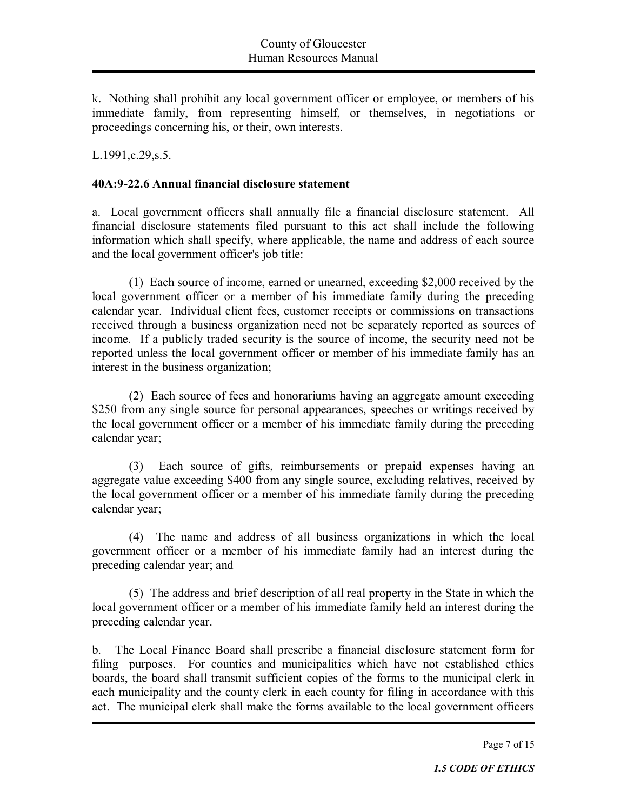k. Nothing shall prohibit any local government officer or employee, or members of his immediate family, from representing himself, or themselves, in negotiations or proceedings concerning his, or their, own interests.

L.1991,c.29,s.5.

#### **40A:922.6 Annual financial disclosure statement**

a. Local government officers shall annually file a financial disclosure statement. All financial disclosure statements filed pursuant to this act shall include the following information which shall specify, where applicable, the name and address of each source and the local government officer's job title:

(1) Each source of income, earned or unearned, exceeding \$2,000 received by the local government officer or a member of his immediate family during the preceding calendar year. Individual client fees, customer receipts or commissions on transactions received through a business organization need not be separately reported as sources of income. If a publicly traded security is the source of income, the security need not be reported unless the local government officer or member of his immediate family has an interest in the business organization;

(2) Each source of fees and honorariums having an aggregate amount exceeding \$250 from any single source for personal appearances, speeches or writings received by the local government officer or a member of his immediate family during the preceding calendar year;

(3) Each source of gifts, reimbursements or prepaid expenses having an aggregate value exceeding \$400 from any single source, excluding relatives, received by the local government officer or a member of his immediate family during the preceding calendar year;

(4) The name and address of all business organizations in which the local government officer or a member of his immediate family had an interest during the preceding calendar year; and

(5) The address and brief description of all real property in the State in which the local government officer or a member of his immediate family held an interest during the preceding calendar year.

b. The Local Finance Board shall prescribe a financial disclosure statement form for filing purposes. For counties and municipalities which have not established ethics boards, the board shall transmit sufficient copies of the forms to the municipal clerk in each municipality and the county clerk in each county for filing in accordance with this act. The municipal clerk shall make the forms available to the local government officers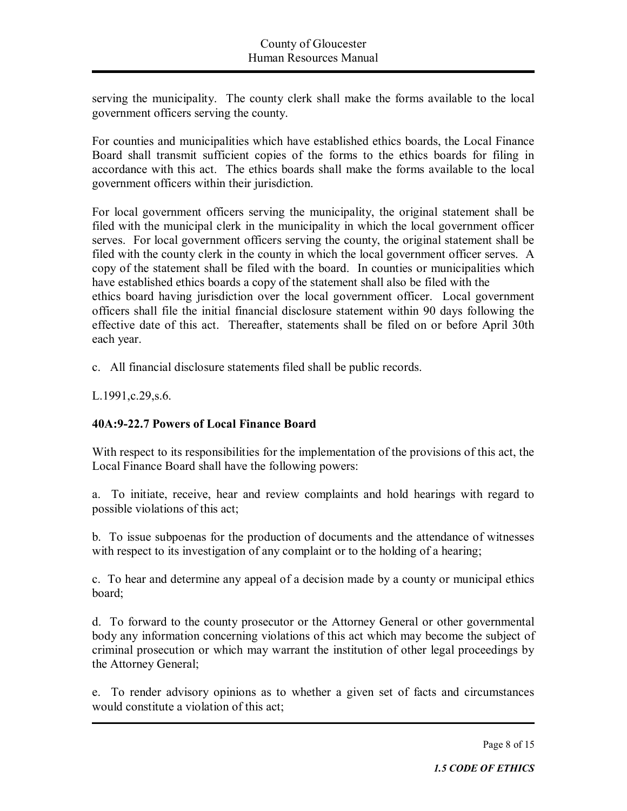serving the municipality. The county clerk shall make the forms available to the local government officers serving the county.

For counties and municipalities which have established ethics boards, the Local Finance Board shall transmit sufficient copies of the forms to the ethics boards for filing in accordance with this act. The ethics boards shall make the forms available to the local government officers within their jurisdiction.

For local government officers serving the municipality, the original statement shall be filed with the municipal clerk in the municipality in which the local government officer serves. For local government officers serving the county, the original statement shall be filed with the county clerk in the county in which the local government officer serves. A copy of the statement shall be filed with the board. In counties or municipalities which have established ethics boards a copy of the statement shall also be filed with the ethics board having jurisdiction over the local government officer. Local government officers shall file the initial financial disclosure statement within 90 days following the effective date of this act. Thereafter, statements shall be filed on or before April 30th each year.

c. All financial disclosure statements filed shall be public records.

L.1991,c.29,s.6.

### **40A:922.7 Powers of Local Finance Board**

With respect to its responsibilities for the implementation of the provisions of this act, the Local Finance Board shall have the following powers:

a. To initiate, receive, hear and review complaints and hold hearings with regard to possible violations of this act;

b. To issue subpoenas for the production of documents and the attendance of witnesses with respect to its investigation of any complaint or to the holding of a hearing;

c. To hear and determine any appeal of a decision made by a county or municipal ethics board;

d. To forward to the county prosecutor or the Attorney General or other governmental body any information concerning violations of this act which may become the subject of criminal prosecution or which may warrant the institution of other legal proceedings by the Attorney General;

e. To render advisory opinions as to whether a given set of facts and circumstances would constitute a violation of this act;

Page 8 of 15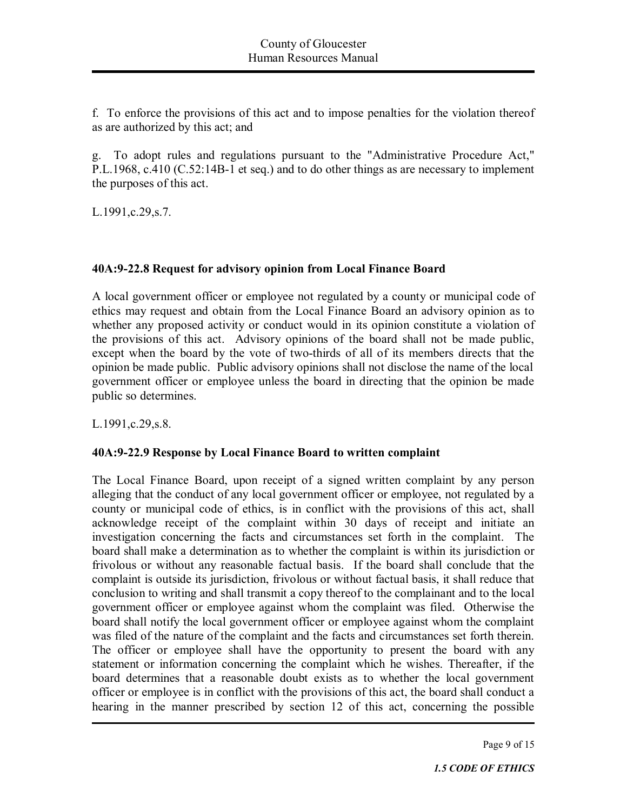f. To enforce the provisions of this act and to impose penalties for the violation thereof as are authorized by this act; and

g. To adopt rules and regulations pursuant to the "Administrative Procedure Act," P.L.1968, c.410 (C.52:14B-1 et seq.) and to do other things as are necessary to implement the purposes of this act.

L.1991,c.29,s.7.

### **40A:922.8 Request for advisory opinion from Local Finance Board**

A local government officer or employee not regulated by a county or municipal code of ethics may request and obtain from the Local Finance Board an advisory opinion as to whether any proposed activity or conduct would in its opinion constitute a violation of the provisions of this act. Advisory opinions of the board shall not be made public, except when the board by the vote of two-thirds of all of its members directs that the opinion be made public. Public advisory opinions shall not disclose the name of the local government officer or employee unless the board in directing that the opinion be made public so determines.

L.1991,c.29,s.8.

# **40A:922.9 Response by Local Finance Board to written complaint**

The Local Finance Board, upon receipt of a signed written complaint by any person alleging that the conduct of any local government officer or employee, not regulated by a county or municipal code of ethics, is in conflict with the provisions of this act, shall acknowledge receipt of the complaint within 30 days of receipt and initiate an investigation concerning the facts and circumstances set forth in the complaint. The board shall make a determination as to whether the complaint is within its jurisdiction or frivolous or without any reasonable factual basis. If the board shall conclude that the complaint is outside its jurisdiction, frivolous or without factual basis, it shall reduce that conclusion to writing and shall transmit a copy thereof to the complainant and to the local government officer or employee against whom the complaint was filed. Otherwise the board shall notify the local government officer or employee against whom the complaint was filed of the nature of the complaint and the facts and circumstances set forth therein. The officer or employee shall have the opportunity to present the board with any statement or information concerning the complaint which he wishes. Thereafter, if the board determines that a reasonable doubt exists as to whether the local government officer or employee is in conflict with the provisions of this act, the board shall conduct a hearing in the manner prescribed by section 12 of this act, concerning the possible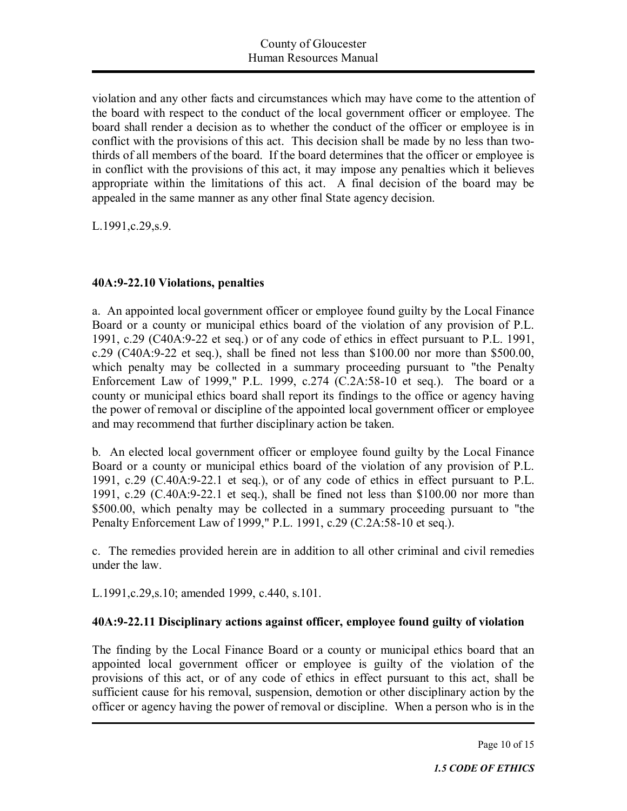violation and any other facts and circumstances which may have come to the attention of the board with respect to the conduct of the local government officer or employee. The board shall render a decision as to whether the conduct of the officer or employee is in conflict with the provisions of this act. This decision shall be made by no less than two thirds of all members of the board. If the board determines that the officer or employee is in conflict with the provisions of this act, it may impose any penalties which it believes appropriate within the limitations of this act. A final decision of the board may be appealed in the same manner as any other final State agency decision.

L.1991,c.29,s.9.

### **40A:922.10 Violations, penalties**

a. An appointed local government officer or employee found guilty by the Local Finance Board or a county or municipal ethics board of the violation of any provision of P.L. 1991, c.29 (C40A: 9-22 et seq.) or of any code of ethics in effect pursuant to P.L. 1991, c.29 (C40A:9-22 et seq.), shall be fined not less than  $$100.00$  nor more than  $$500.00$ , which penalty may be collected in a summary proceeding pursuant to "the Penalty Enforcement Law of 1999," P.L. 1999, c.274  $(C.2A:58-10$  et seq.). The board or a county or municipal ethics board shall report its findings to the office or agency having the power of removal or discipline of the appointed local government officer or employee and may recommend that further disciplinary action be taken.

b. An elected local government officer or employee found guilty by the Local Finance Board or a county or municipal ethics board of the violation of any provision of P.L. 1991, c.29  $(C.40A:9-22.1$  et seq.), or of any code of ethics in effect pursuant to P.L. 1991, c.29  $(C.40A.9-22.1$  et seq.), shall be fined not less than \$100.00 nor more than \$500.00, which penalty may be collected in a summary proceeding pursuant to "the Penalty Enforcement Law of 1999," P.L. 1991, c.29 (C.2A:58-10 et seq.).

c. The remedies provided herein are in addition to all other criminal and civil remedies under the law.

L.1991,c.29,s.10; amended 1999, c.440, s.101.

# **40A:922.11 Disciplinary actions against officer, employee found guilty of violation**

The finding by the Local Finance Board or a county or municipal ethics board that an appointed local government officer or employee is guilty of the violation of the provisions of this act, or of any code of ethics in effect pursuant to this act, shall be sufficient cause for his removal, suspension, demotion or other disciplinary action by the officer or agency having the power of removal or discipline. When a person who is in the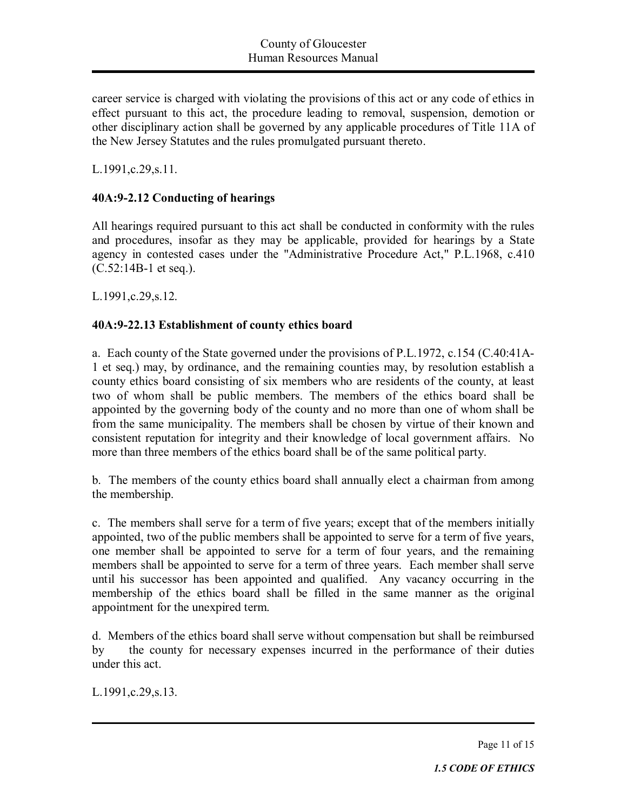career service is charged with violating the provisions of this act or any code of ethics in effect pursuant to this act, the procedure leading to removal, suspension, demotion or other disciplinary action shall be governed by any applicable procedures of Title 11A of the New Jersey Statutes and the rules promulgated pursuant thereto.

L.1991,c.29,s.11.

### **40A:92.12 Conducting of hearings**

All hearings required pursuant to this act shall be conducted in conformity with the rules and procedures, insofar as they may be applicable, provided for hearings by a State agency in contested cases under the "Administrative Procedure Act," P.L.1968, c.410  $(C.52:14B-1$  et seq.).

L.1991,c.29,s.12.

### **40A:922.13 Establishment of county ethics board**

a. Each county of the State governed under the provisions of P.L.1972, c.154 (C.40:41A 1 et seq.) may, by ordinance, and the remaining counties may, by resolution establish a county ethics board consisting of six members who are residents of the county, at least two of whom shall be public members. The members of the ethics board shall be appointed by the governing body of the county and no more than one of whom shall be from the same municipality. The members shall be chosen by virtue of their known and consistent reputation for integrity and their knowledge of local government affairs. No more than three members of the ethics board shall be of the same political party.

b. The members of the county ethics board shall annually elect a chairman from among the membership.

c. The members shall serve for a term of five years; except that of the members initially appointed, two of the public members shall be appointed to serve for a term of five years, one member shall be appointed to serve for a term of four years, and the remaining members shall be appointed to serve for a term of three years. Each member shall serve until his successor has been appointed and qualified. Any vacancy occurring in the membership of the ethics board shall be filled in the same manner as the original appointment for the unexpired term.

d. Members of the ethics board shall serve without compensation but shall be reimbursed by the county for necessary expenses incurred in the performance of their duties under this act.

L.1991,c.29,s.13.

Page 11 of 15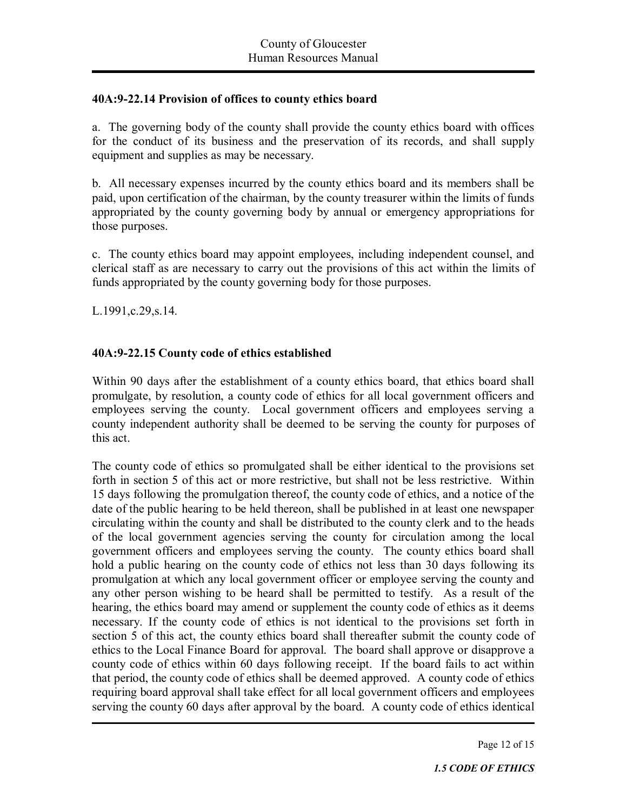### **40A:922.14 Provision of offices to county ethics board**

a. The governing body of the county shall provide the county ethics board with offices for the conduct of its business and the preservation of its records, and shall supply equipment and supplies as may be necessary.

b. All necessary expenses incurred by the county ethics board and its members shall be paid, upon certification of the chairman, by the county treasurer within the limits of funds appropriated by the county governing body by annual or emergency appropriations for those purposes.

c. The county ethics board may appoint employees, including independent counsel, and clerical staff as are necessary to carry out the provisions of this act within the limits of funds appropriated by the county governing body for those purposes.

L.1991,c.29,s.14.

# **40A:922.15 County code of ethics established**

Within 90 days after the establishment of a county ethics board, that ethics board shall promulgate, by resolution, a county code of ethics for all local government officers and employees serving the county. Local government officers and employees serving a county independent authority shall be deemed to be serving the county for purposes of this act.

The county code of ethics so promulgated shall be either identical to the provisions set forth in section 5 of this act or more restrictive, but shall not be less restrictive. Within 15 days following the promulgation thereof, the county code of ethics, and a notice of the date of the public hearing to be held thereon, shall be published in at least one newspaper circulating within the county and shall be distributed to the county clerk and to the heads of the local government agencies serving the county for circulation among the local government officers and employees serving the county. The county ethics board shall hold a public hearing on the county code of ethics not less than 30 days following its promulgation at which any local government officer or employee serving the county and any other person wishing to be heard shall be permitted to testify. As a result of the hearing, the ethics board may amend or supplement the county code of ethics as it deems necessary. If the county code of ethics is not identical to the provisions set forth in section 5 of this act, the county ethics board shall thereafter submit the county code of ethics to the Local Finance Board for approval. The board shall approve or disapprove a county code of ethics within 60 days following receipt. If the board fails to act within that period, the county code of ethics shall be deemed approved. A county code of ethics requiring board approval shall take effect for all local government officers and employees serving the county 60 days after approval by the board. A county code of ethics identical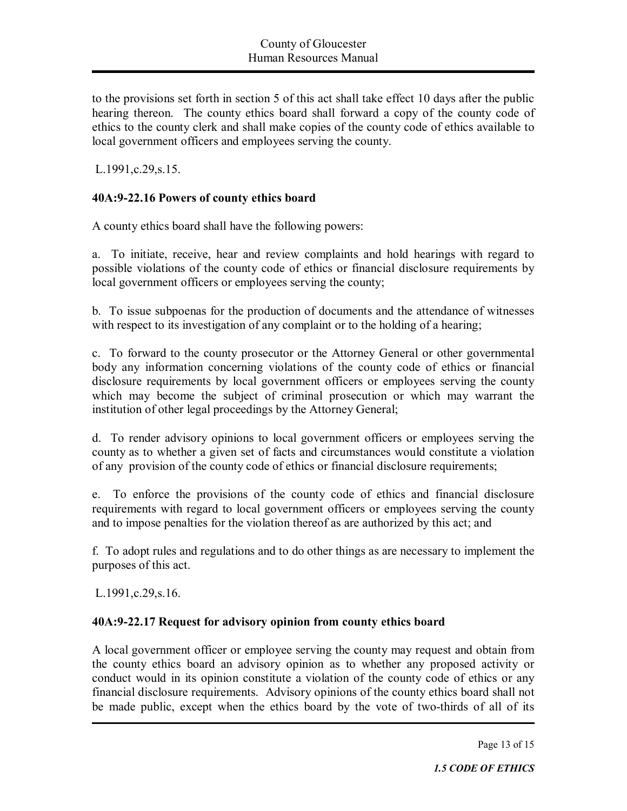to the provisions set forth in section 5 of this act shall take effect 10 days after the public hearing thereon. The county ethics board shall forward a copy of the county code of ethics to the county clerk and shall make copies of the county code of ethics available to local government officers and employees serving the county.

L.1991,c.29,s.15.

### **40A:922.16 Powers of county ethics board**

A county ethics board shall have the following powers:

a. To initiate, receive, hear and review complaints and hold hearings with regard to possible violations of the county code of ethics or financial disclosure requirements by local government officers or employees serving the county;

b. To issue subpoenas for the production of documents and the attendance of witnesses with respect to its investigation of any complaint or to the holding of a hearing;

c. To forward to the county prosecutor or the Attorney General or other governmental body any information concerning violations of the county code of ethics or financial disclosure requirements by local government officers or employees serving the county which may become the subject of criminal prosecution or which may warrant the institution of other legal proceedings by the Attorney General;

d. To render advisory opinions to local government officers or employees serving the county as to whether a given set of facts and circumstances would constitute a violation of any provision of the county code of ethics or financial disclosure requirements;

e. To enforce the provisions of the county code of ethics and financial disclosure requirements with regard to local government officers or employees serving the county and to impose penalties for the violation thereof as are authorized by this act; and

f. To adopt rules and regulations and to do other things as are necessary to implement the purposes of this act.

L.1991,c.29,s.16.

#### **40A:922.17 Request for advisory opinion from county ethics board**

A local government officer or employee serving the county may request and obtain from the county ethics board an advisory opinion as to whether any proposed activity or conduct would in its opinion constitute a violation of the county code of ethics or any financial disclosure requirements. Advisory opinions of the county ethics board shall not be made public, except when the ethics board by the vote of two-thirds of all of its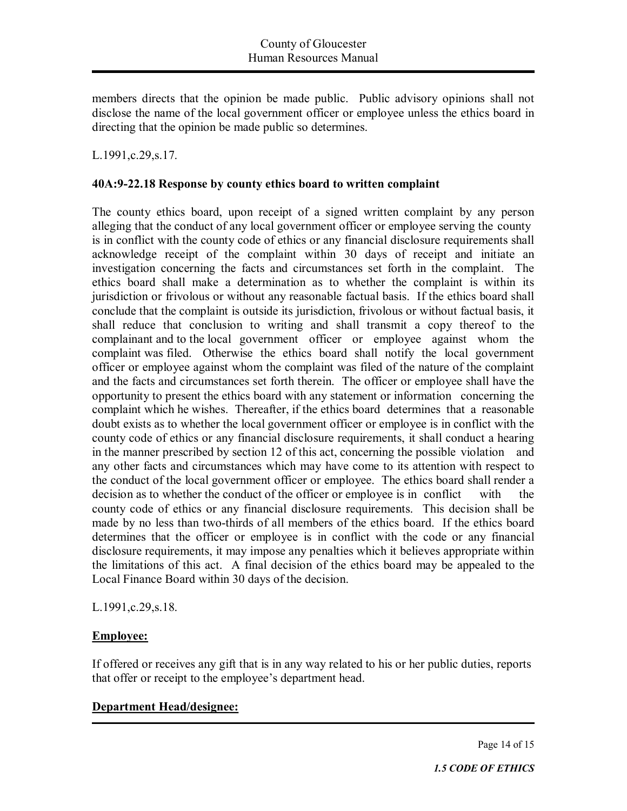members directs that the opinion be made public. Public advisory opinions shall not disclose the name of the local government officer or employee unless the ethics board in directing that the opinion be made public so determines.

L.1991,c.29,s.17.

#### **40A:922.18 Response by county ethics board to written complaint**

The county ethics board, upon receipt of a signed written complaint by any person alleging that the conduct of any local government officer or employee serving the county is in conflict with the county code of ethics or any financial disclosure requirements shall acknowledge receipt of the complaint within 30 days of receipt and initiate an investigation concerning the facts and circumstances set forth in the complaint. The ethics board shall make a determination as to whether the complaint is within its jurisdiction or frivolous or without any reasonable factual basis. If the ethics board shall conclude that the complaint is outside its jurisdiction, frivolous or without factual basis, it shall reduce that conclusion to writing and shall transmit a copy thereof to the complainant and to the local government officer or employee against whom the complaint was filed. Otherwise the ethics board shall notify the local government officer or employee against whom the complaint was filed of the nature of the complaint and the facts and circumstances set forth therein. The officer or employee shall have the opportunity to present the ethics board with any statement or information concerning the complaint which he wishes. Thereafter, if the ethics board determines that a reasonable doubt exists as to whether the local government officer or employee is in conflict with the county code of ethics or any financial disclosure requirements, it shall conduct a hearing in the manner prescribed by section 12 of this act, concerning the possible violation and any other facts and circumstances which may have come to its attention with respect to the conduct of the local government officer or employee. The ethics board shall render a decision as to whether the conduct of the officer or employee is in conflict with the county code of ethics or any financial disclosure requirements. This decision shall be made by no less than two-thirds of all members of the ethics board. If the ethics board determines that the officer or employee is in conflict with the code or any financial disclosure requirements, it may impose any penalties which it believes appropriate within the limitations of this act. A final decision of the ethics board may be appealed to the Local Finance Board within 30 days of the decision.

L.1991,c.29,s.18.

### **Employee:**

If offered or receives any gift that is in any way related to his or her public duties, reports that offer or receipt to the employee's department head.

### **Department Head/designee:**

Page 14 of 15